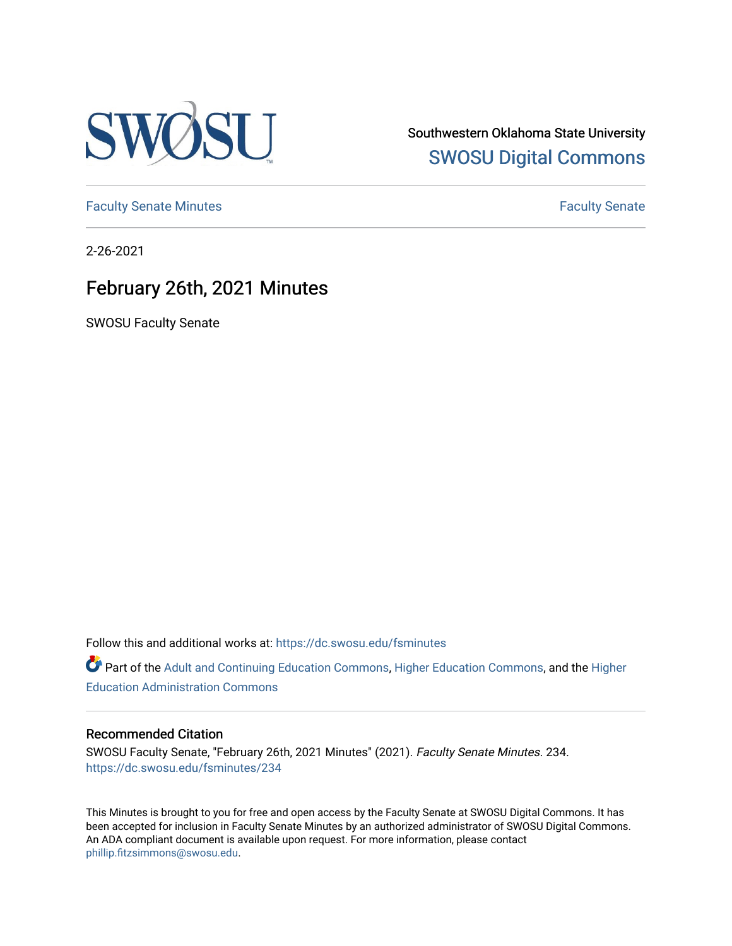

Southwestern Oklahoma State University [SWOSU Digital Commons](https://dc.swosu.edu/) 

[Faculty Senate Minutes](https://dc.swosu.edu/fsminutes) **Faculty** Senate Minutes

2-26-2021

## February 26th, 2021 Minutes

SWOSU Faculty Senate

Follow this and additional works at: [https://dc.swosu.edu/fsminutes](https://dc.swosu.edu/fsminutes?utm_source=dc.swosu.edu%2Ffsminutes%2F234&utm_medium=PDF&utm_campaign=PDFCoverPages) 

Part of the [Adult and Continuing Education Commons,](http://network.bepress.com/hgg/discipline/1375?utm_source=dc.swosu.edu%2Ffsminutes%2F234&utm_medium=PDF&utm_campaign=PDFCoverPages) [Higher Education Commons,](http://network.bepress.com/hgg/discipline/1245?utm_source=dc.swosu.edu%2Ffsminutes%2F234&utm_medium=PDF&utm_campaign=PDFCoverPages) and the [Higher](http://network.bepress.com/hgg/discipline/791?utm_source=dc.swosu.edu%2Ffsminutes%2F234&utm_medium=PDF&utm_campaign=PDFCoverPages) [Education Administration Commons](http://network.bepress.com/hgg/discipline/791?utm_source=dc.swosu.edu%2Ffsminutes%2F234&utm_medium=PDF&utm_campaign=PDFCoverPages) 

#### Recommended Citation

SWOSU Faculty Senate, "February 26th, 2021 Minutes" (2021). Faculty Senate Minutes. 234. [https://dc.swosu.edu/fsminutes/234](https://dc.swosu.edu/fsminutes/234?utm_source=dc.swosu.edu%2Ffsminutes%2F234&utm_medium=PDF&utm_campaign=PDFCoverPages) 

This Minutes is brought to you for free and open access by the Faculty Senate at SWOSU Digital Commons. It has been accepted for inclusion in Faculty Senate Minutes by an authorized administrator of SWOSU Digital Commons. An ADA compliant document is available upon request. For more information, please contact [phillip.fitzsimmons@swosu.edu](mailto:phillip.fitzsimmons@swosu.edu).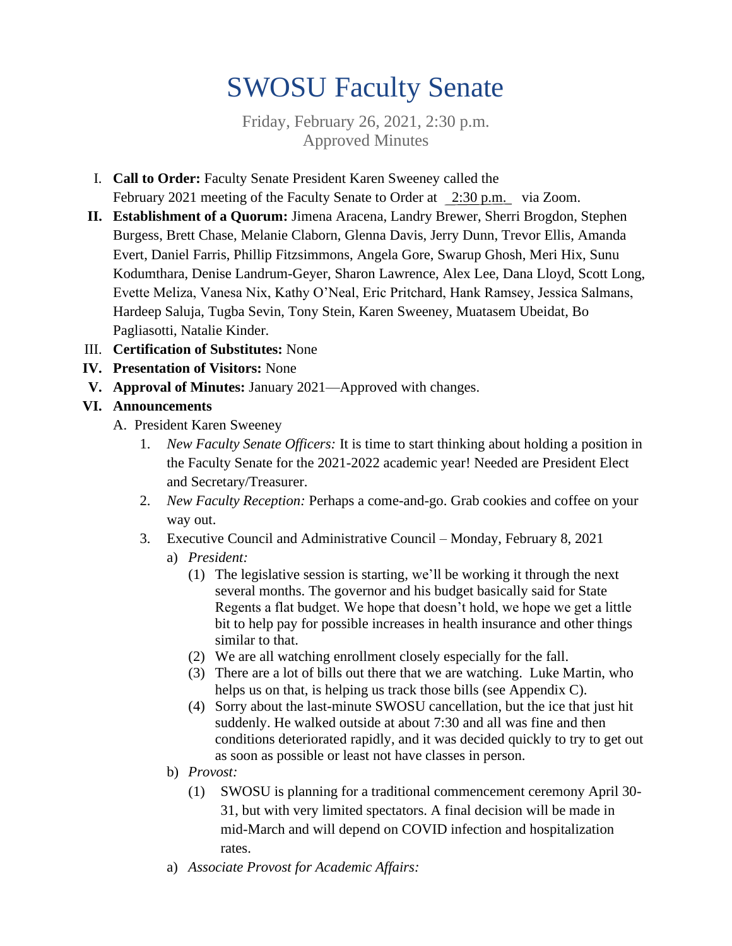# SWOSU Faculty Senate

Friday, February 26, 2021, 2:30 p.m. Approved Minutes

- I. **Call to Order:** Faculty Senate President Karen Sweeney called the February 2021 meeting of the Faculty Senate to Order at 2:30 p.m. via Zoom.
- **II. Establishment of a Quorum:** Jimena Aracena, Landry Brewer, Sherri Brogdon, Stephen Burgess, Brett Chase, Melanie Claborn, Glenna Davis, Jerry Dunn, Trevor Ellis, Amanda Evert, Daniel Farris, Phillip Fitzsimmons, Angela Gore, Swarup Ghosh, Meri Hix, Sunu Kodumthara, Denise Landrum-Geyer, Sharon Lawrence, Alex Lee, Dana Lloyd, Scott Long, Evette Meliza, Vanesa Nix, Kathy O'Neal, Eric Pritchard, Hank Ramsey, Jessica Salmans, Hardeep Saluja, Tugba Sevin, Tony Stein, Karen Sweeney, Muatasem Ubeidat, Bo Pagliasotti, Natalie Kinder.
- III. **Certification of Substitutes:** None
- **IV. Presentation of Visitors:** None
- **V. Approval of Minutes:** January 2021—Approved with changes.

#### **VI. Announcements**

- A. President Karen Sweeney
	- 1. *New Faculty Senate Officers:* It is time to start thinking about holding a position in the Faculty Senate for the 2021-2022 academic year! Needed are President Elect and Secretary/Treasurer.
	- 2. *New Faculty Reception:* Perhaps a come-and-go. Grab cookies and coffee on your way out.
	- 3. Executive Council and Administrative Council Monday, February 8, 2021
		- a) *President:*
			- (1) The legislative session is starting, we'll be working it through the next several months. The governor and his budget basically said for State Regents a flat budget. We hope that doesn't hold, we hope we get a little bit to help pay for possible increases in health insurance and other things similar to that.
			- (2) We are all watching enrollment closely especially for the fall.
			- (3) There are a lot of bills out there that we are watching. Luke Martin, who helps us on that, is helping us track those bills (see Appendix C).
			- (4) Sorry about the last-minute SWOSU cancellation, but the ice that just hit suddenly. He walked outside at about 7:30 and all was fine and then conditions deteriorated rapidly, and it was decided quickly to try to get out as soon as possible or least not have classes in person.
		- b) *Provost:*
			- (1) SWOSU is planning for a traditional commencement ceremony April 30- 31, but with very limited spectators. A final decision will be made in mid-March and will depend on COVID infection and hospitalization rates.
		- a) *Associate Provost for Academic Affairs:*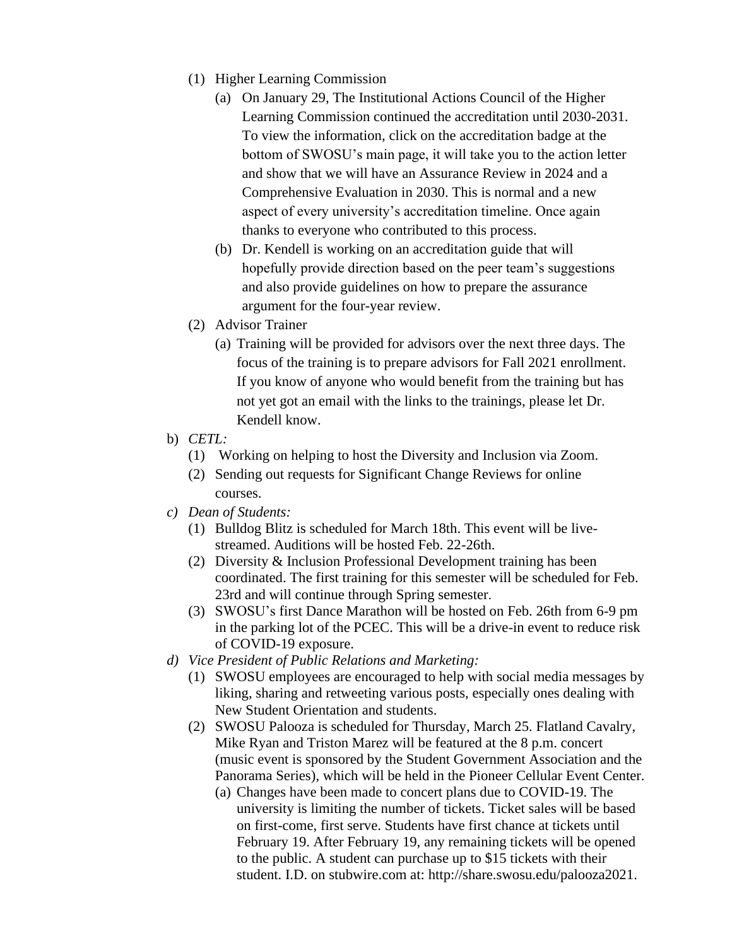- (1) Higher Learning Commission
	- (a) On January 29, The Institutional Actions Council of the Higher Learning Commission continued the accreditation until 2030-2031. To view the information, click on the accreditation badge at the bottom of SWOSU's main page, it will take you to the action letter and show that we will have an Assurance Review in 2024 and a Comprehensive Evaluation in 2030. This is normal and a new aspect of every university's accreditation timeline. Once again thanks to everyone who contributed to this process.
	- (b) Dr. Kendell is working on an accreditation guide that will hopefully provide direction based on the peer team's suggestions and also provide guidelines on how to prepare the assurance argument for the four-year review.
- (2) Advisor Trainer
	- (a) Training will be provided for advisors over the next three days. The focus of the training is to prepare advisors for Fall 2021 enrollment. If you know of anyone who would benefit from the training but has not yet got an email with the links to the trainings, please let Dr. Kendell know.
- b) *CETL:*
	- (1) Working on helping to host the Diversity and Inclusion via Zoom.
	- (2) Sending out requests for Significant Change Reviews for online courses.
- *c) Dean of Students:* 
	- (1) Bulldog Blitz is scheduled for March 18th. This event will be livestreamed. Auditions will be hosted Feb. 22-26th.
	- (2) Diversity & Inclusion Professional Development training has been coordinated. The first training for this semester will be scheduled for Feb. 23rd and will continue through Spring semester.
	- (3) SWOSU's first Dance Marathon will be hosted on Feb. 26th from 6-9 pm in the parking lot of the PCEC. This will be a drive-in event to reduce risk of COVID-19 exposure.
- *d) Vice President of Public Relations and Marketing:*
	- (1) SWOSU employees are encouraged to help with social media messages by liking, sharing and retweeting various posts, especially ones dealing with New Student Orientation and students.
	- (2) SWOSU Palooza is scheduled for Thursday, March 25. Flatland Cavalry, Mike Ryan and Triston Marez will be featured at the 8 p.m. concert (music event is sponsored by the Student Government Association and the Panorama Series), which will be held in the Pioneer Cellular Event Center.
		- (a) Changes have been made to concert plans due to COVID-19. The university is limiting the number of tickets. Ticket sales will be based on first-come, first serve. Students have first chance at tickets until February 19. After February 19, any remaining tickets will be opened to the public. A student can purchase up to \$15 tickets with their student. I.D. on stubwire.com at: [http://share.swosu.edu/palooza2021.](http://share.swosu.edu/palooza2021)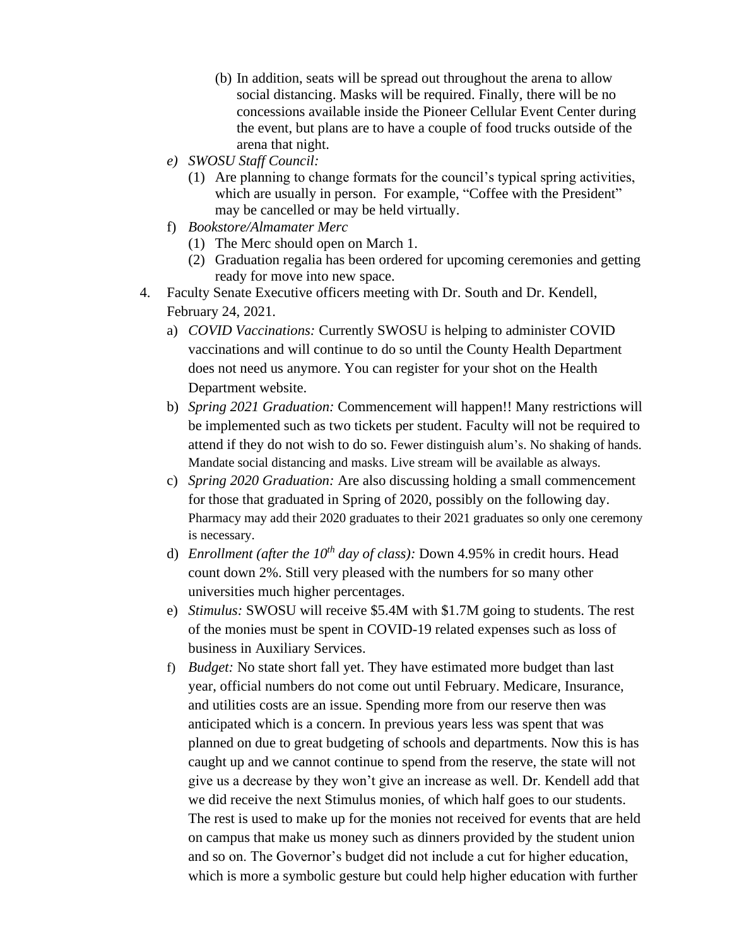- (b) In addition, seats will be spread out throughout the arena to allow social distancing. Masks will be required. Finally, there will be no concessions available inside the Pioneer Cellular Event Center during the event, but plans are to have a couple of food trucks outside of the arena that night.
- *e) SWOSU Staff Council:*
	- (1) Are planning to change formats for the council's typical spring activities, which are usually in person. For example, "Coffee with the President" may be cancelled or may be held virtually.
- f) *Bookstore/Almamater Merc*
	- (1) The Merc should open on March 1.
	- (2) Graduation regalia has been ordered for upcoming ceremonies and getting ready for move into new space.
- 4. Faculty Senate Executive officers meeting with Dr. South and Dr. Kendell, February 24, 2021.
	- a) *COVID Vaccinations:* Currently SWOSU is helping to administer COVID vaccinations and will continue to do so until the County Health Department does not need us anymore. You can register for your shot on the Health Department website.
	- b) *Spring 2021 Graduation:* Commencement will happen!! Many restrictions will be implemented such as two tickets per student. Faculty will not be required to attend if they do not wish to do so. Fewer distinguish alum's. No shaking of hands. Mandate social distancing and masks. Live stream will be available as always.
	- c) *Spring 2020 Graduation:* Are also discussing holding a small commencement for those that graduated in Spring of 2020, possibly on the following day. Pharmacy may add their 2020 graduates to their 2021 graduates so only one ceremony is necessary.
	- d) *Enrollment (after the 10th day of class):* Down 4.95% in credit hours. Head count down 2%. Still very pleased with the numbers for so many other universities much higher percentages.
	- e) *Stimulus:* SWOSU will receive \$5.4M with \$1.7M going to students. The rest of the monies must be spent in COVID-19 related expenses such as loss of business in Auxiliary Services.
	- f) *Budget:* No state short fall yet. They have estimated more budget than last year, official numbers do not come out until February. Medicare, Insurance, and utilities costs are an issue. Spending more from our reserve then was anticipated which is a concern. In previous years less was spent that was planned on due to great budgeting of schools and departments. Now this is has caught up and we cannot continue to spend from the reserve, the state will not give us a decrease by they won't give an increase as well. Dr. Kendell add that we did receive the next Stimulus monies, of which half goes to our students. The rest is used to make up for the monies not received for events that are held on campus that make us money such as dinners provided by the student union and so on. The Governor's budget did not include a cut for higher education, which is more a symbolic gesture but could help higher education with further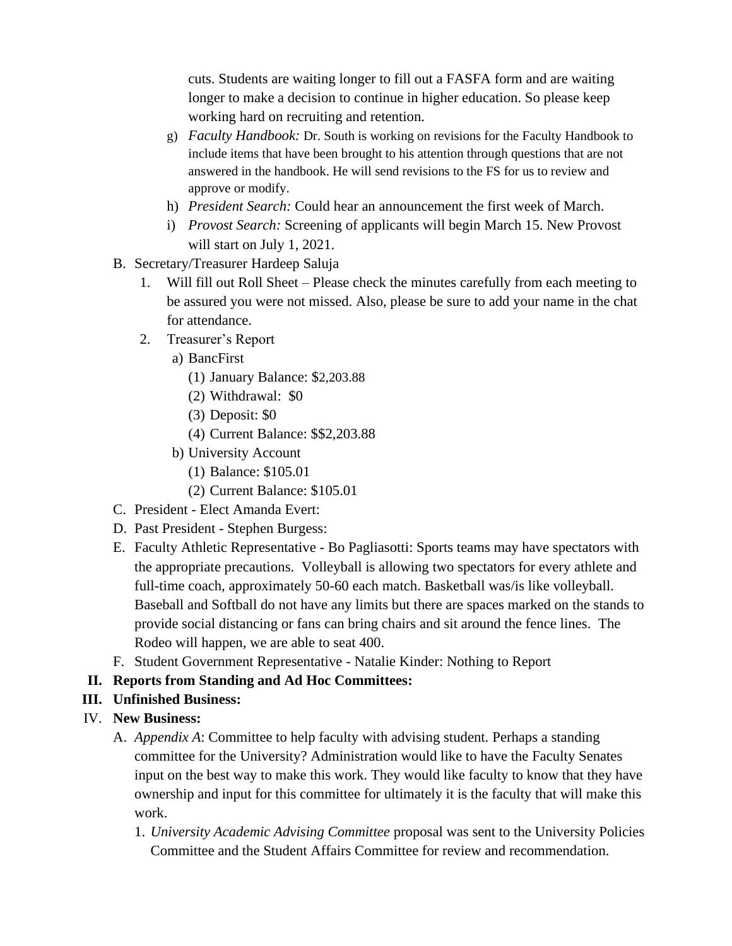cuts. Students are waiting longer to fill out a FASFA form and are waiting longer to make a decision to continue in higher education. So please keep working hard on recruiting and retention.

- g) *Faculty Handbook:* Dr. South is working on revisions for the Faculty Handbook to include items that have been brought to his attention through questions that are not answered in the handbook. He will send revisions to the FS for us to review and approve or modify.
- h) *President Search:* Could hear an announcement the first week of March.
- i) *Provost Search:* Screening of applicants will begin March 15. New Provost will start on July 1, 2021.
- B. Secretary/Treasurer Hardeep Saluja
	- 1. Will fill out Roll Sheet Please check the minutes carefully from each meeting to be assured you were not missed. Also, please be sure to add your name in the chat for attendance.
	- 2. Treasurer's Report
		- a) BancFirst
			- (1) January Balance: \$2,203.88
			- (2) Withdrawal: \$0
			- (3) Deposit: \$0
			- (4) Current Balance: \$\$2,203.88
		- b) University Account
			- (1) Balance: \$105.01
			- (2) Current Balance: \$105.01
- C. President Elect Amanda Evert:
- D. Past President Stephen Burgess:
- E. Faculty Athletic Representative Bo Pagliasotti: Sports teams may have spectators with the appropriate precautions. Volleyball is allowing two spectators for every athlete and full-time coach, approximately 50-60 each match. Basketball was/is like volleyball. Baseball and Softball do not have any limits but there are spaces marked on the stands to provide social distancing or fans can bring chairs and sit around the fence lines. The Rodeo will happen, we are able to seat 400.
- F. Student Government Representative Natalie Kinder: Nothing to Report
- **II. Reports from Standing and Ad Hoc Committees:**
- **III. Unfinished Business:**
- IV. **New Business:**
	- A. *Appendix A*: Committee to help faculty with advising student. Perhaps a standing committee for the University? Administration would like to have the Faculty Senates input on the best way to make this work. They would like faculty to know that they have ownership and input for this committee for ultimately it is the faculty that will make this work.
		- 1. *University Academic Advising Committee* proposal was sent to the University Policies Committee and the Student Affairs Committee for review and recommendation.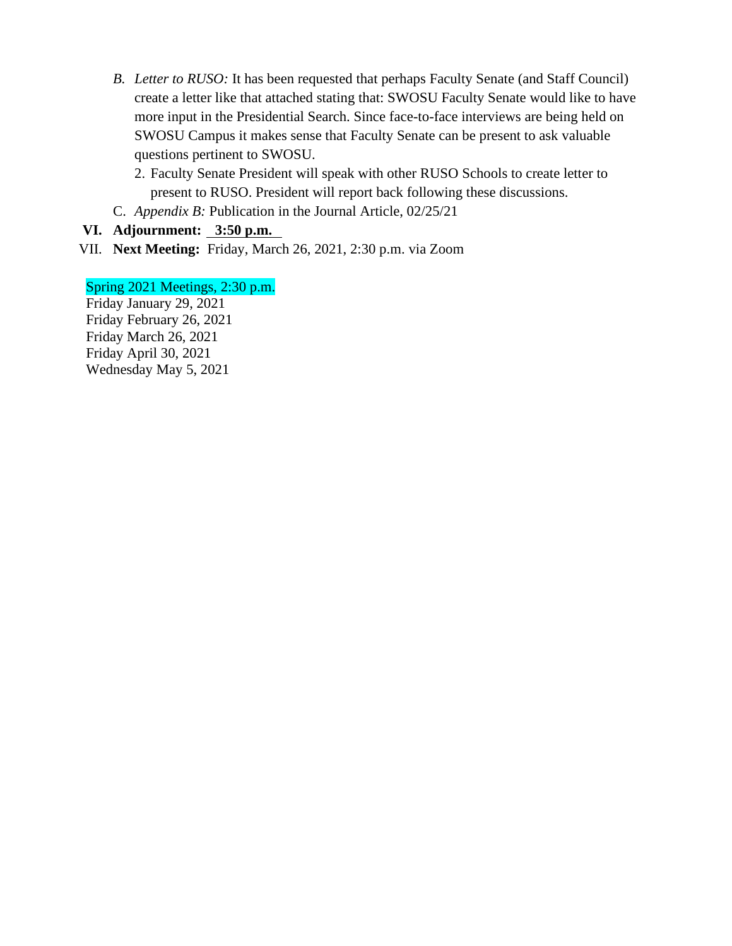- *B. Letter to RUSO:* It has been requested that perhaps Faculty Senate (and Staff Council) create a letter like that attached stating that: SWOSU Faculty Senate would like to have more input in the Presidential Search. Since face-to-face interviews are being held on SWOSU Campus it makes sense that Faculty Senate can be present to ask valuable questions pertinent to SWOSU.
	- 2. Faculty Senate President will speak with other RUSO Schools to create letter to present to RUSO. President will report back following these discussions.
- C. *Appendix B:* Publication in the Journal Article, 02/25/21

#### **VI. Adjournment: 3:50 p.m.**

VII. **Next Meeting:** Friday, March 26, 2021, 2:30 p.m. via Zoom

#### Spring 2021 Meetings, 2:30 p.m.

Friday January 29, 2021 Friday February 26, 2021 Friday March 26, 2021 Friday April 30, 2021 Wednesday May 5, 2021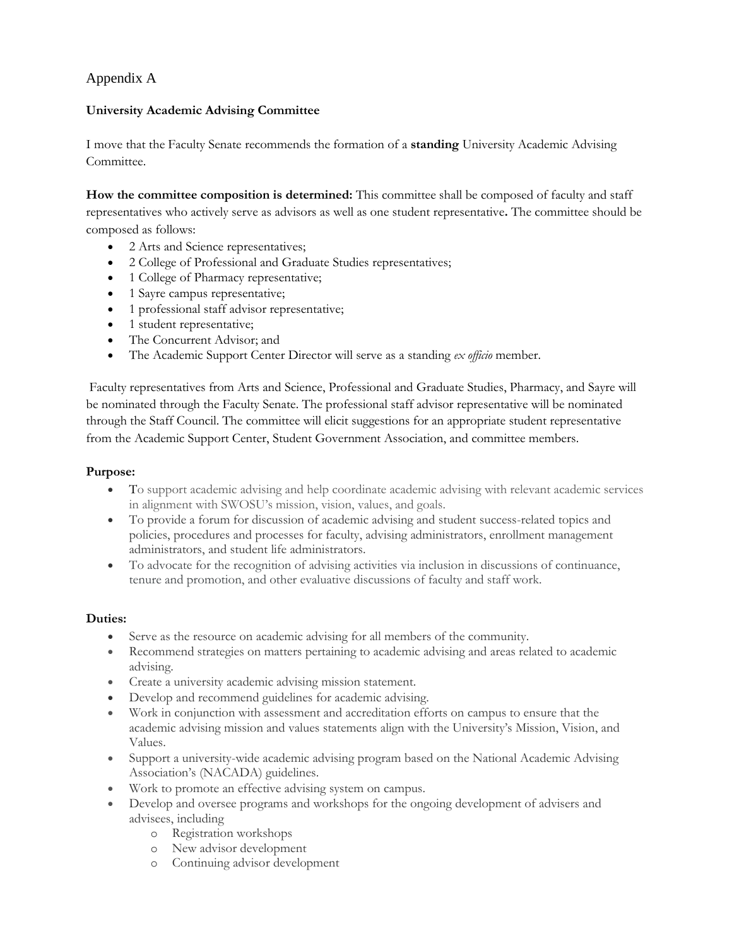#### Appendix A

#### **University Academic Advising Committee**

I move that the Faculty Senate recommends the formation of a **standing** University Academic Advising Committee.

**How the committee composition is determined:** This committee shall be composed of faculty and staff representatives who actively serve as advisors as well as one student representative**.** The committee should be composed as follows:

- 2 Arts and Science representatives;
- 2 College of Professional and Graduate Studies representatives;
- 1 College of Pharmacy representative;
- 1 Sayre campus representative;
- 1 professional staff advisor representative;
- 1 student representative;
- The Concurrent Advisor; and
- The Academic Support Center Director will serve as a standing *ex officio* member.

Faculty representatives from Arts and Science, Professional and Graduate Studies, Pharmacy, and Sayre will be nominated through the Faculty Senate. The professional staff advisor representative will be nominated through the Staff Council. The committee will elicit suggestions for an appropriate student representative from the Academic Support Center, Student Government Association, and committee members.

#### **Purpose:**

- To support academic advising and help coordinate academic advising with relevant academic services in alignment with SWOSU's mission, vision, values, and goals.
- To provide a forum for discussion of academic advising and student success-related topics and policies, procedures and processes for faculty, advising administrators, enrollment management administrators, and student life administrators.
- To advocate for the recognition of advising activities via inclusion in discussions of continuance, tenure and promotion, and other evaluative discussions of faculty and staff work.

#### **Duties:**

- Serve as the resource on academic advising for all members of the community.
- Recommend strategies on matters pertaining to academic advising and areas related to academic advising.
- Create a university academic advising mission statement.
- Develop and recommend guidelines for academic advising.
- Work in conjunction with assessment and accreditation efforts on campus to ensure that the academic advising mission and values statements align with the University's Mission, Vision, and Values.
- Support a university-wide academic advising program based on the National Academic Advising Association's (NACADA) guidelines.
- Work to promote an effective advising system on campus.
- Develop and oversee programs and workshops for the ongoing development of advisers and advisees, including
	- o Registration workshops
	- o New advisor development
	- o Continuing advisor development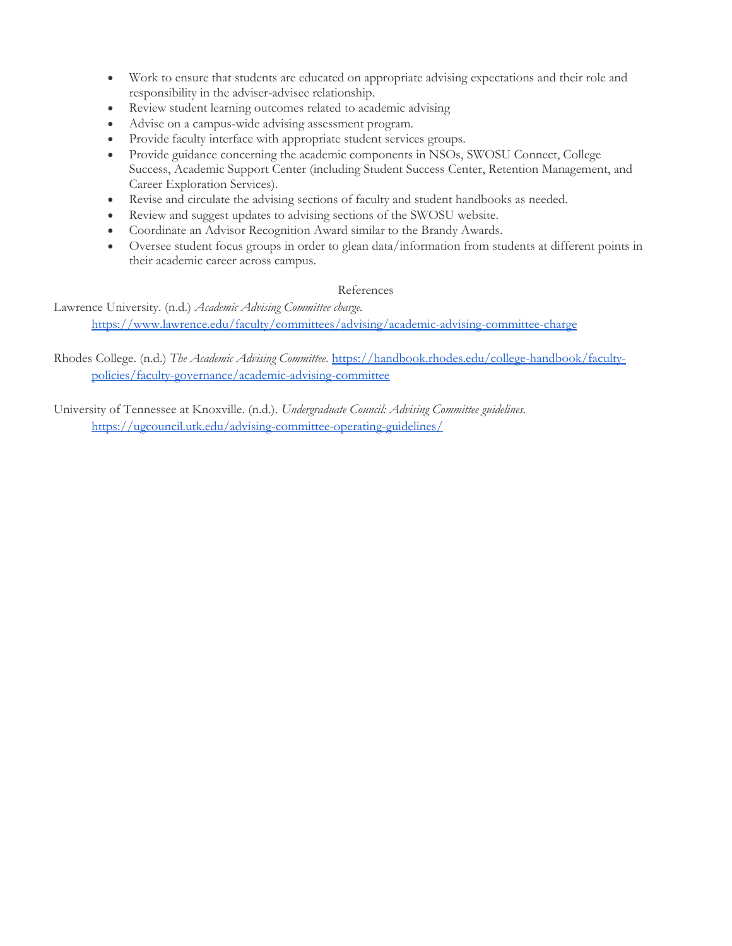- Work to ensure that students are educated on appropriate advising expectations and their role and responsibility in the adviser-advisee relationship.
- Review student learning outcomes related to academic advising
- Advise on a campus-wide advising assessment program.
- Provide faculty interface with appropriate student services groups.
- Provide guidance concerning the academic components in NSOs, SWOSU Connect, College Success, Academic Support Center (including Student Success Center, Retention Management, and Career Exploration Services).
- Revise and circulate the advising sections of faculty and student handbooks as needed.
- Review and suggest updates to advising sections of the SWOSU website.
- Coordinate an Advisor Recognition Award similar to the Brandy Awards.
- Oversee student focus groups in order to glean data/information from students at different points in their academic career across campus.

#### References

Lawrence University. (n.d.) *Academic Advising Committee charge.* <https://www.lawrence.edu/faculty/committees/advising/academic-advising-committee-charge>

#### Rhodes College. (n.d.) The Academic Advising Committee. [https://handbook.rhodes.edu/college-handbook/faculty](https://handbook.rhodes.edu/college-handbook/faculty-policies/faculty-governance/academic-advising-committee)[policies/faculty-governance/academic-advising-committee](https://handbook.rhodes.edu/college-handbook/faculty-policies/faculty-governance/academic-advising-committee)

University of Tennessee at Knoxville. (n.d.). *Undergraduate Council: Advising Committee guidelines.* <https://ugcouncil.utk.edu/advising-committee-operating-guidelines/>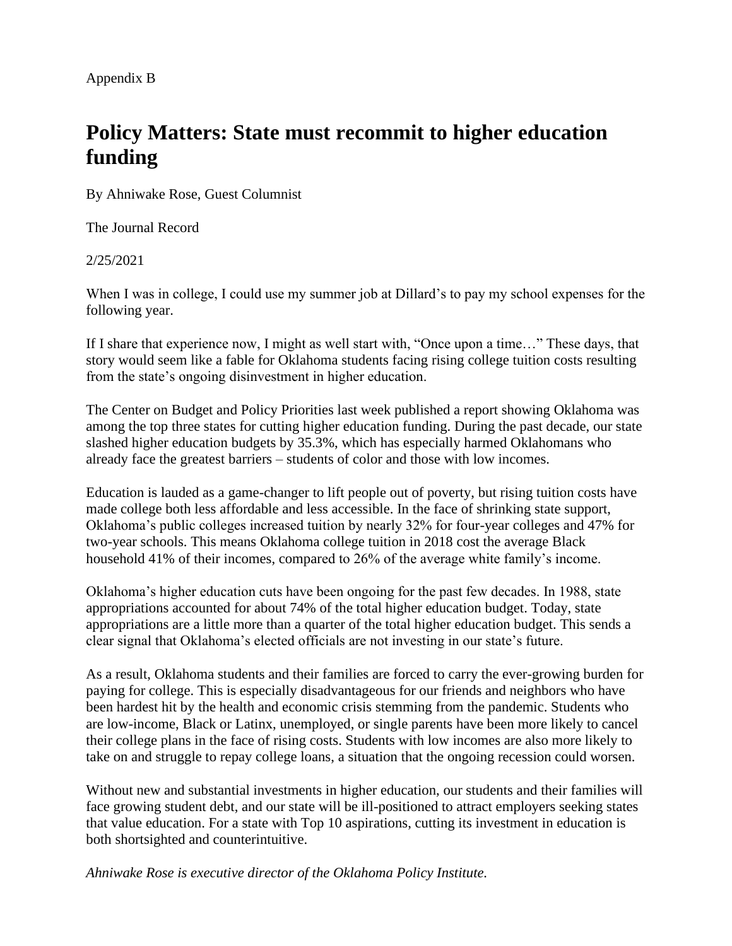Appendix B

# **Policy Matters: State must recommit to higher education funding**

By Ahniwake Rose, Guest Columnist

The Journal Record

2/25/2021

When I was in college, I could use my summer job at Dillard's to pay my school expenses for the following year.

If I share that experience now, I might as well start with, "Once upon a time…" These days, that story would seem like a fable for Oklahoma students facing rising college tuition costs resulting from the state's ongoing disinvestment in higher education.

The Center on Budget and Policy Priorities last week published a report showing Oklahoma was among the top three states for cutting higher education funding. During the past decade, our state slashed higher education budgets by 35.3%, which has especially harmed Oklahomans who already face the greatest barriers – students of color and those with low incomes.

Education is lauded as a game-changer to lift people out of poverty, but rising tuition costs have made college both less affordable and less accessible. In the face of shrinking state support, Oklahoma's public colleges increased tuition by nearly 32% for four-year colleges and 47% for two-year schools. This means Oklahoma college tuition in 2018 cost the average Black household 41% of their incomes, compared to 26% of the average white family's income.

Oklahoma's higher education cuts have been ongoing for the past few decades. In 1988, state appropriations accounted for about 74% of the total higher education budget. Today, state appropriations are a little more than a quarter of the total higher education budget. This sends a clear signal that Oklahoma's elected officials are not investing in our state's future.

As a result, Oklahoma students and their families are forced to carry the ever-growing burden for paying for college. This is especially disadvantageous for our friends and neighbors who have been hardest hit by the health and economic crisis stemming from the pandemic. Students who are low-income, Black or Latinx, unemployed, or single parents have been more likely to cancel their college plans in the face of rising costs. Students with low incomes are also more likely to take on and struggle to repay college loans, a situation that the ongoing recession could worsen.

Without new and substantial investments in higher education, our students and their families will face growing student debt, and our state will be ill-positioned to attract employers seeking states that value education. For a state with Top 10 aspirations, cutting its investment in education is both shortsighted and counterintuitive.

*Ahniwake Rose is executive director of the Oklahoma Policy Institute.*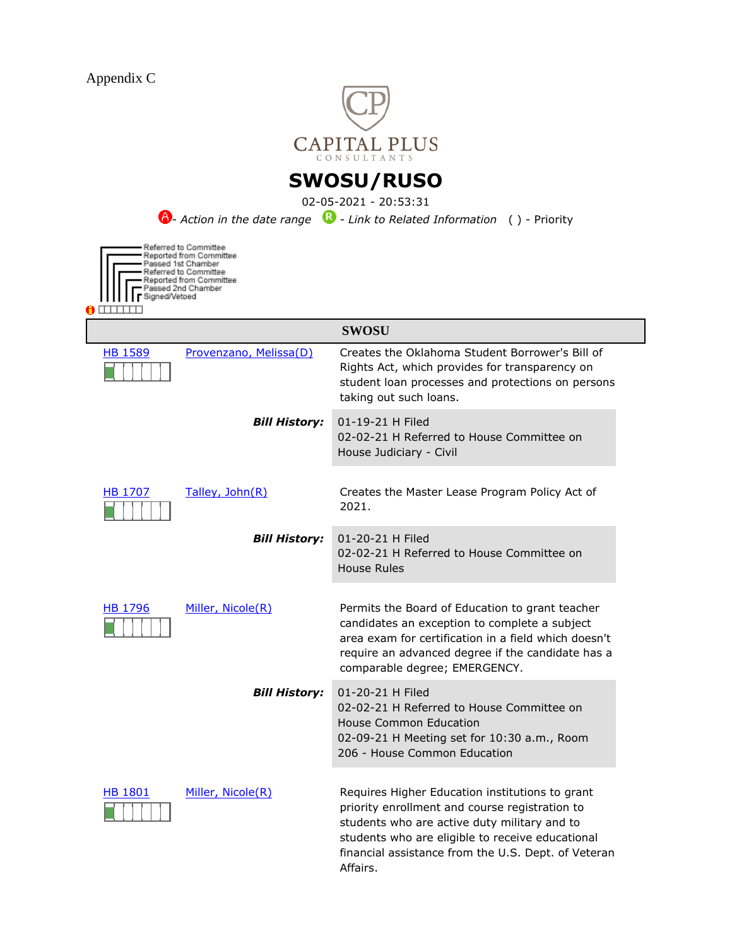

## **SWOSU/RUSO**

02-05-2021 - 20:53:31

**6**- *Action in the date range* **C** - *Link to Related Information* ( ) - Priority

| Signed/Vetoed  | Referred to Committee<br>Reported from Committee<br>Passed 1st Chamber<br>Referred to Committee<br>Reported from Committee<br>Passed 2nd Chamber |
|----------------|--------------------------------------------------------------------------------------------------------------------------------------------------|
|                |                                                                                                                                                  |
| <b>HB 1589</b> | Provenzano,                                                                                                                                      |
|                |                                                                                                                                                  |

|                |                        | <b>SWOSU</b>                                                                                                                                                                                                                                                             |
|----------------|------------------------|--------------------------------------------------------------------------------------------------------------------------------------------------------------------------------------------------------------------------------------------------------------------------|
| <b>HB 1589</b> | Provenzano, Melissa(D) | Creates the Oklahoma Student Borrower's Bill of<br>Rights Act, which provides for transparency on<br>student loan processes and protections on persons<br>taking out such loans.                                                                                         |
|                | <b>Bill History:</b>   | 01-19-21 H Filed<br>02-02-21 H Referred to House Committee on<br>House Judiciary - Civil                                                                                                                                                                                 |
| HB 1707        | Talley, John(R)        | Creates the Master Lease Program Policy Act of<br>2021.                                                                                                                                                                                                                  |
|                | <b>Bill History:</b>   | 01-20-21 H Filed<br>02-02-21 H Referred to House Committee on<br>House Rules                                                                                                                                                                                             |
| HB 1796        | Miller, Nicole(R)      | Permits the Board of Education to grant teacher<br>candidates an exception to complete a subject<br>area exam for certification in a field which doesn't<br>require an advanced degree if the candidate has a<br>comparable degree; EMERGENCY.                           |
|                | <b>Bill History:</b>   | 01-20-21 H Filed<br>02-02-21 H Referred to House Committee on<br>House Common Education<br>02-09-21 H Meeting set for 10:30 a.m., Room<br>206 - House Common Education                                                                                                   |
| <b>HB 1801</b> | Miller, Nicole(R)      | Requires Higher Education institutions to grant<br>priority enrollment and course registration to<br>students who are active duty military and to<br>students who are eligible to receive educational<br>financial assistance from the U.S. Dept. of Veteran<br>Affairs. |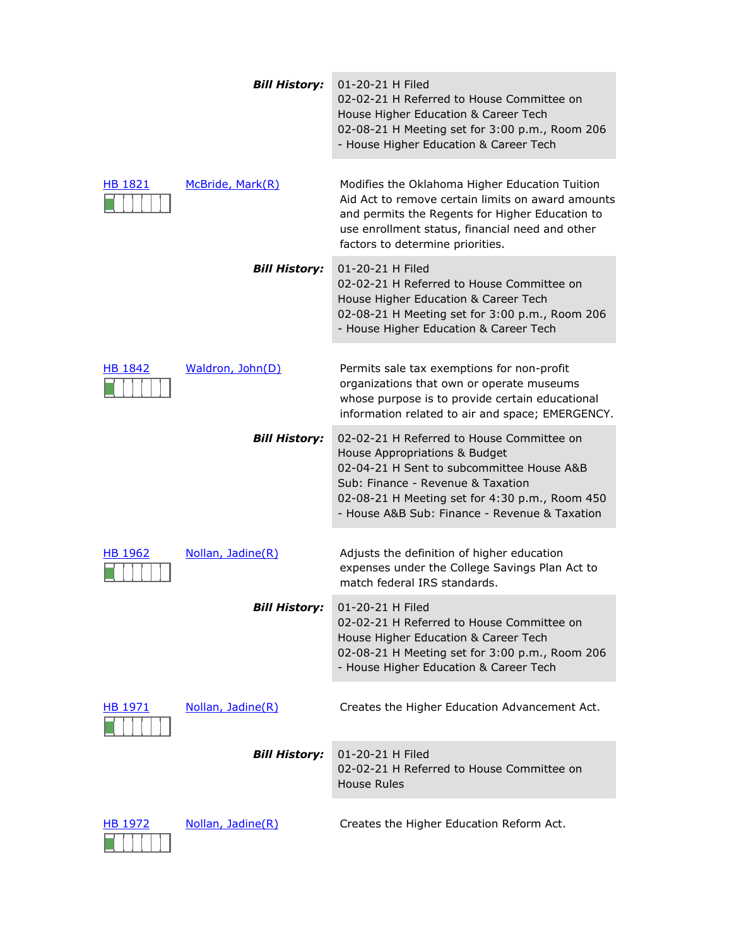|                | <b>Bill History:</b> | 01-20-21 H Filed<br>02-02-21 H Referred to House Committee on<br>House Higher Education & Career Tech<br>02-08-21 H Meeting set for 3:00 p.m., Room 206<br>- House Higher Education & Career Tech                                                               |
|----------------|----------------------|-----------------------------------------------------------------------------------------------------------------------------------------------------------------------------------------------------------------------------------------------------------------|
| <b>HB 1821</b> | McBride, Mark(R)     | Modifies the Oklahoma Higher Education Tuition<br>Aid Act to remove certain limits on award amounts<br>and permits the Regents for Higher Education to<br>use enrollment status, financial need and other<br>factors to determine priorities.                   |
|                | <b>Bill History:</b> | 01-20-21 H Filed<br>02-02-21 H Referred to House Committee on<br>House Higher Education & Career Tech<br>02-08-21 H Meeting set for 3:00 p.m., Room 206<br>- House Higher Education & Career Tech                                                               |
| HB 1842        | Waldron, John(D)     | Permits sale tax exemptions for non-profit<br>organizations that own or operate museums<br>whose purpose is to provide certain educational<br>information related to air and space; EMERGENCY.                                                                  |
|                | <b>Bill History:</b> | 02-02-21 H Referred to House Committee on<br>House Appropriations & Budget<br>02-04-21 H Sent to subcommittee House A&B<br>Sub: Finance - Revenue & Taxation<br>02-08-21 H Meeting set for 4:30 p.m., Room 450<br>- House A&B Sub: Finance - Revenue & Taxation |
| HB 1962        | Nollan, Jadine(R)    | Adjusts the definition of higher education<br>expenses under the College Savings Plan Act to<br>match federal IRS standards.                                                                                                                                    |
|                | <b>Bill History:</b> | 01-20-21 H Filed<br>02-02-21 H Referred to House Committee on<br>House Higher Education & Career Tech<br>02-08-21 H Meeting set for 3:00 p.m., Room 206<br>- House Higher Education & Career Tech                                                               |
| HB 1971        | Nollan, Jadine(R)    | Creates the Higher Education Advancement Act.                                                                                                                                                                                                                   |
|                | <b>Bill History:</b> | 01-20-21 H Filed<br>02-02-21 H Referred to House Committee on<br>House Rules                                                                                                                                                                                    |
| HB 1972        | Nollan, Jadine(R)    | Creates the Higher Education Reform Act.                                                                                                                                                                                                                        |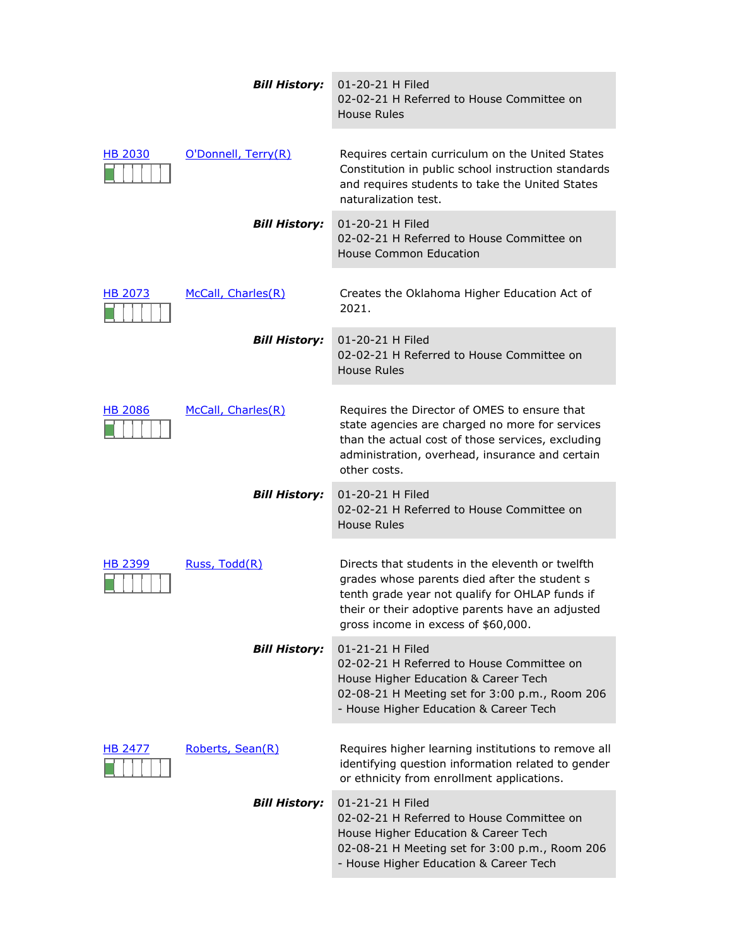|                | <b>Bill History:</b> | 01-20-21 H Filed<br>02-02-21 H Referred to House Committee on<br>House Rules                                                                                                                                                                    |
|----------------|----------------------|-------------------------------------------------------------------------------------------------------------------------------------------------------------------------------------------------------------------------------------------------|
| <b>HB 2030</b> | O'Donnell, Terry(R)  | Requires certain curriculum on the United States<br>Constitution in public school instruction standards<br>and requires students to take the United States<br>naturalization test.                                                              |
|                | <b>Bill History:</b> | 01-20-21 H Filed<br>02-02-21 H Referred to House Committee on<br><b>House Common Education</b>                                                                                                                                                  |
| <b>HB 2073</b> | McCall, Charles(R)   | Creates the Oklahoma Higher Education Act of<br>2021.                                                                                                                                                                                           |
|                | <b>Bill History:</b> | 01-20-21 H Filed<br>02-02-21 H Referred to House Committee on<br>House Rules                                                                                                                                                                    |
| <b>HB 2086</b> | McCall, Charles(R)   | Requires the Director of OMES to ensure that<br>state agencies are charged no more for services<br>than the actual cost of those services, excluding<br>administration, overhead, insurance and certain<br>other costs.                         |
|                | <b>Bill History:</b> | 01-20-21 H Filed<br>02-02-21 H Referred to House Committee on<br><b>House Rules</b>                                                                                                                                                             |
| <b>HB 2399</b> | Russ, Todd(R)        | Directs that students in the eleventh or twelfth<br>grades whose parents died after the student s<br>tenth grade year not qualify for OHLAP funds if<br>their or their adoptive parents have an adjusted<br>gross income in excess of \$60,000. |
|                | <b>Bill History:</b> | 01-21-21 H Filed<br>02-02-21 H Referred to House Committee on<br>House Higher Education & Career Tech<br>02-08-21 H Meeting set for 3:00 p.m., Room 206<br>- House Higher Education & Career Tech                                               |
| HB 2477        | Roberts, Sean(R)     | Requires higher learning institutions to remove all<br>identifying question information related to gender<br>or ethnicity from enrollment applications.                                                                                         |
|                | <b>Bill History:</b> | 01-21-21 H Filed<br>02-02-21 H Referred to House Committee on<br>House Higher Education & Career Tech<br>02-08-21 H Meeting set for 3:00 p.m., Room 206<br>- House Higher Education & Career Tech                                               |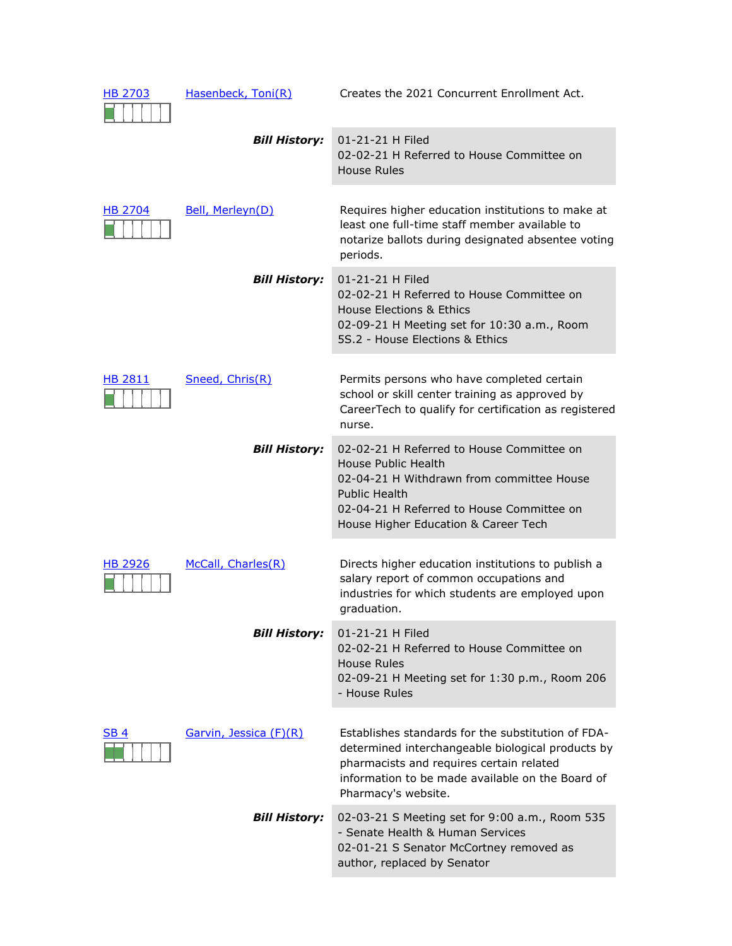| HB 2703        | Hasenbeck, Toni(R)     | Creates the 2021 Concurrent Enrollment Act.                                                                                                                                                                                    |
|----------------|------------------------|--------------------------------------------------------------------------------------------------------------------------------------------------------------------------------------------------------------------------------|
|                | <b>Bill History:</b>   | 01-21-21 H Filed<br>02-02-21 H Referred to House Committee on<br><b>House Rules</b>                                                                                                                                            |
| <b>HB 2704</b> | Bell, Merleyn(D)       | Requires higher education institutions to make at<br>least one full-time staff member available to<br>notarize ballots during designated absentee voting<br>periods.                                                           |
|                | <b>Bill History:</b>   | 01-21-21 H Filed<br>02-02-21 H Referred to House Committee on<br><b>House Elections &amp; Ethics</b><br>02-09-21 H Meeting set for 10:30 a.m., Room<br>5S.2 - House Elections & Ethics                                         |
| <b>HB 2811</b> | Sneed, Chris(R)        | Permits persons who have completed certain<br>school or skill center training as approved by<br>CareerTech to qualify for certification as registered<br>nurse.                                                                |
|                | <b>Bill History:</b>   | 02-02-21 H Referred to House Committee on<br>House Public Health<br>02-04-21 H Withdrawn from committee House<br><b>Public Health</b><br>02-04-21 H Referred to House Committee on<br>House Higher Education & Career Tech     |
| <b>HB 2926</b> | McCall, Charles(R)     | Directs higher education institutions to publish a<br>salary report of common occupations and<br>industries for which students are employed upon<br>graduation.                                                                |
|                | <b>Bill History:</b>   | 01-21-21 H Filed<br>02-02-21 H Referred to House Committee on<br>House Rules<br>02-09-21 H Meeting set for 1:30 p.m., Room 206<br>- House Rules                                                                                |
| SB 4           | Garvin, Jessica (F)(R) | Establishes standards for the substitution of FDA-<br>determined interchangeable biological products by<br>pharmacists and requires certain related<br>information to be made available on the Board of<br>Pharmacy's website. |
|                | <b>Bill History:</b>   | 02-03-21 S Meeting set for 9:00 a.m., Room 535<br>- Senate Health & Human Services<br>02-01-21 S Senator McCortney removed as<br>author, replaced by Senator                                                                   |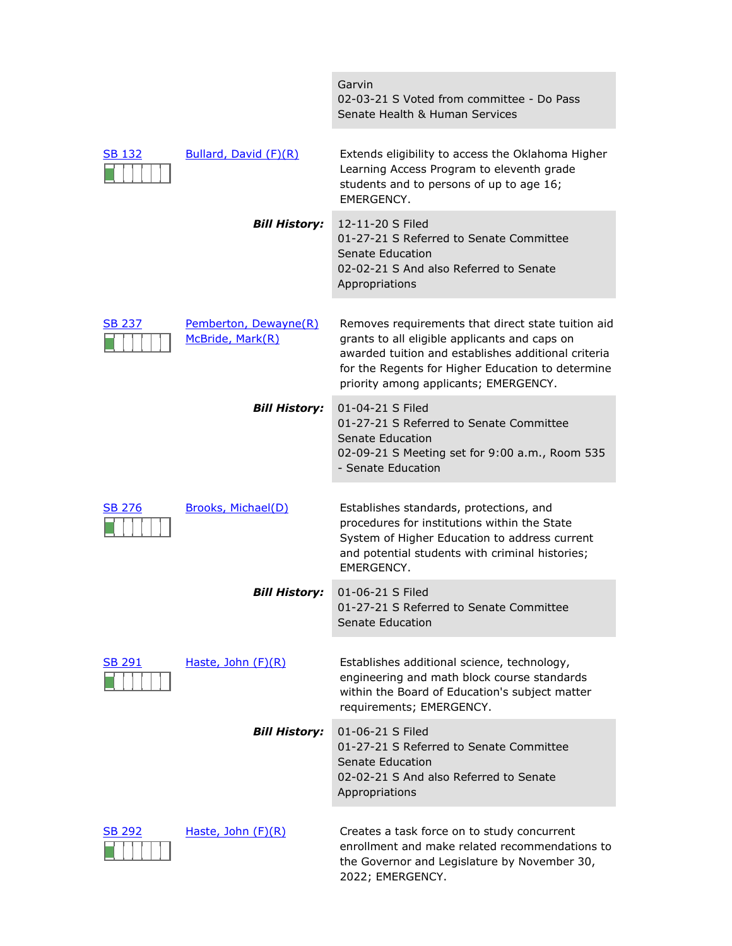|               |                                           | Garvin<br>02-03-21 S Voted from committee - Do Pass<br>Senate Health & Human Services                                                                                                                                                                    |
|---------------|-------------------------------------------|----------------------------------------------------------------------------------------------------------------------------------------------------------------------------------------------------------------------------------------------------------|
| SB 132        | Bullard, David (F)(R)                     | Extends eligibility to access the Oklahoma Higher<br>Learning Access Program to eleventh grade<br>students and to persons of up to age 16;<br>EMERGENCY.                                                                                                 |
|               | <b>Bill History:</b>                      | 12-11-20 S Filed<br>01-27-21 S Referred to Senate Committee<br>Senate Education<br>02-02-21 S And also Referred to Senate<br>Appropriations                                                                                                              |
| <b>SB 237</b> | Pemberton, Dewayne(R)<br>McBride, Mark(R) | Removes requirements that direct state tuition aid<br>grants to all eligible applicants and caps on<br>awarded tuition and establishes additional criteria<br>for the Regents for Higher Education to determine<br>priority among applicants; EMERGENCY. |
|               | <b>Bill History:</b>                      | 01-04-21 S Filed<br>01-27-21 S Referred to Senate Committee<br>Senate Education<br>02-09-21 S Meeting set for 9:00 a.m., Room 535<br>- Senate Education                                                                                                  |
| <b>SB 276</b> | <b>Brooks, Michael(D)</b>                 | Establishes standards, protections, and<br>procedures for institutions within the State<br>System of Higher Education to address current<br>and potential students with criminal histories;<br>EMERGENCY.                                                |
|               | <b>Bill History:</b>                      | 01-06-21 S Filed<br>01-27-21 S Referred to Senate Committee<br>Senate Education                                                                                                                                                                          |
| <b>SB 291</b> | Haste, John (F)(R)                        | Establishes additional science, technology,<br>engineering and math block course standards<br>within the Board of Education's subject matter<br>requirements; EMERGENCY.                                                                                 |
|               | <b>Bill History:</b>                      | 01-06-21 S Filed<br>01-27-21 S Referred to Senate Committee<br>Senate Education<br>02-02-21 S And also Referred to Senate<br>Appropriations                                                                                                              |
| SB 292        | Haste, John (F)(R)                        | Creates a task force on to study concurrent<br>enrollment and make related recommendations to<br>the Governor and Legislature by November 30,<br>2022; EMERGENCY.                                                                                        |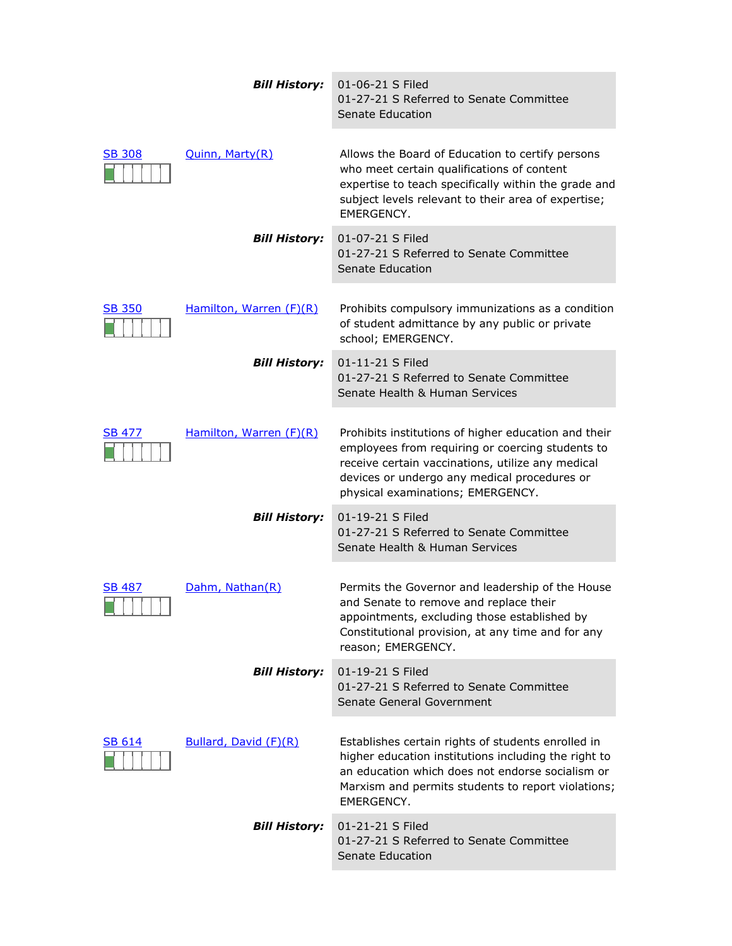|               | <b>Bill History:</b>    | 01-06-21 S Filed<br>01-27-21 S Referred to Senate Committee<br>Senate Education                                                                                                                                                                    |
|---------------|-------------------------|----------------------------------------------------------------------------------------------------------------------------------------------------------------------------------------------------------------------------------------------------|
| SB 308        | <b>Quinn, Marty(R)</b>  | Allows the Board of Education to certify persons<br>who meet certain qualifications of content<br>expertise to teach specifically within the grade and<br>subject levels relevant to their area of expertise;<br>EMERGENCY.                        |
|               | <b>Bill History:</b>    | 01-07-21 S Filed<br>01-27-21 S Referred to Senate Committee<br>Senate Education                                                                                                                                                                    |
| <b>SB 350</b> | Hamilton, Warren (F)(R) | Prohibits compulsory immunizations as a condition<br>of student admittance by any public or private<br>school; EMERGENCY.                                                                                                                          |
|               | <b>Bill History:</b>    | 01-11-21 S Filed<br>01-27-21 S Referred to Senate Committee<br>Senate Health & Human Services                                                                                                                                                      |
| <b>SB 477</b> | Hamilton, Warren (F)(R) | Prohibits institutions of higher education and their<br>employees from requiring or coercing students to<br>receive certain vaccinations, utilize any medical<br>devices or undergo any medical procedures or<br>physical examinations; EMERGENCY. |
|               | <b>Bill History:</b>    | 01-19-21 S Filed<br>01-27-21 S Referred to Senate Committee<br>Senate Health & Human Services                                                                                                                                                      |
| <b>SB 487</b> | Dahm, Nathan(R)         | Permits the Governor and leadership of the House<br>and Senate to remove and replace their<br>appointments, excluding those established by<br>Constitutional provision, at any time and for any<br>reason; EMERGENCY.                              |
|               | <b>Bill History:</b>    | 01-19-21 S Filed<br>01-27-21 S Referred to Senate Committee<br>Senate General Government                                                                                                                                                           |
| <b>SB 614</b> | Bullard, David (F)(R)   | Establishes certain rights of students enrolled in<br>higher education institutions including the right to<br>an education which does not endorse socialism or<br>Marxism and permits students to report violations;<br>EMERGENCY.                 |
|               | <b>Bill History:</b>    | 01-21-21 S Filed<br>01-27-21 S Referred to Senate Committee<br>Senate Education                                                                                                                                                                    |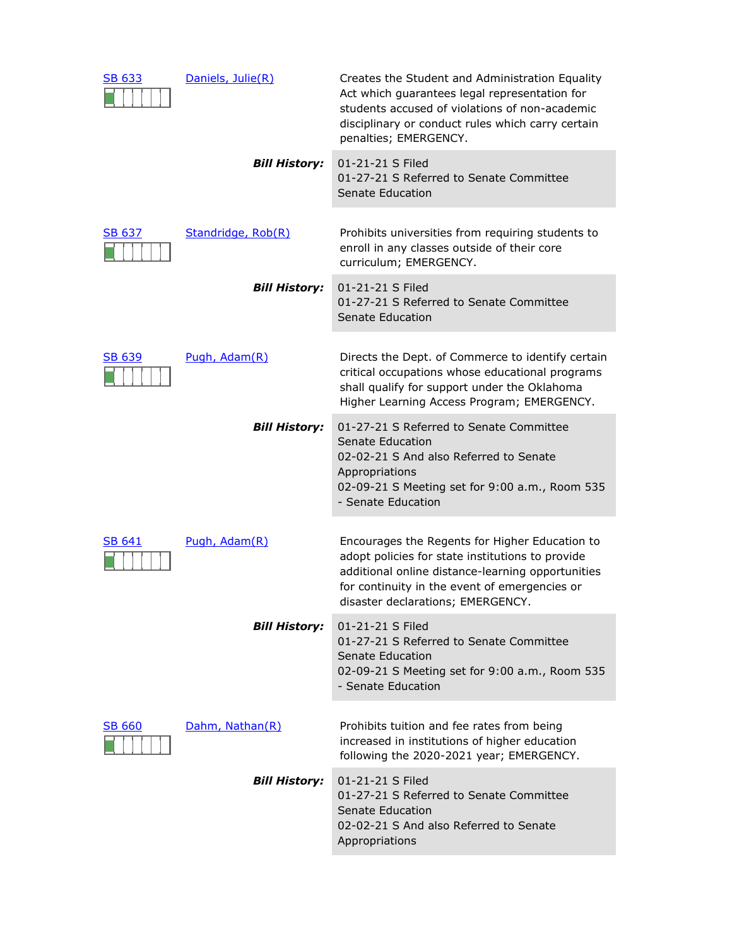| SB 633        | Daniels, Julie(R)    | Creates the Student and Administration Equality<br>Act which guarantees legal representation for<br>students accused of violations of non-academic<br>disciplinary or conduct rules which carry certain<br>penalties; EMERGENCY.              |
|---------------|----------------------|-----------------------------------------------------------------------------------------------------------------------------------------------------------------------------------------------------------------------------------------------|
|               | <b>Bill History:</b> | 01-21-21 S Filed<br>01-27-21 S Referred to Senate Committee<br>Senate Education                                                                                                                                                               |
| <b>SB 637</b> | Standridge, Rob(R)   | Prohibits universities from requiring students to<br>enroll in any classes outside of their core<br>curriculum; EMERGENCY.                                                                                                                    |
|               | <b>Bill History:</b> | 01-21-21 S Filed<br>01-27-21 S Referred to Senate Committee<br>Senate Education                                                                                                                                                               |
| <b>SB 639</b> | Pugh, Adam(R)        | Directs the Dept. of Commerce to identify certain<br>critical occupations whose educational programs<br>shall qualify for support under the Oklahoma<br>Higher Learning Access Program; EMERGENCY.                                            |
|               | <b>Bill History:</b> | 01-27-21 S Referred to Senate Committee<br>Senate Education<br>02-02-21 S And also Referred to Senate<br>Appropriations<br>02-09-21 S Meeting set for 9:00 a.m., Room 535<br>- Senate Education                                               |
| <b>SB 641</b> | Pugh, Adam(R)        | Encourages the Regents for Higher Education to<br>adopt policies for state institutions to provide<br>additional online distance-learning opportunities<br>for continuity in the event of emergencies or<br>disaster declarations; EMERGENCY. |
|               | <b>Bill History:</b> | 01-21-21 S Filed<br>01-27-21 S Referred to Senate Committee<br>Senate Education<br>02-09-21 S Meeting set for 9:00 a.m., Room 535<br>- Senate Education                                                                                       |
| <b>SB 660</b> | Dahm, Nathan(R)      | Prohibits tuition and fee rates from being<br>increased in institutions of higher education<br>following the 2020-2021 year; EMERGENCY.                                                                                                       |
|               | <b>Bill History:</b> | 01-21-21 S Filed<br>01-27-21 S Referred to Senate Committee<br>Senate Education<br>02-02-21 S And also Referred to Senate<br>Appropriations                                                                                                   |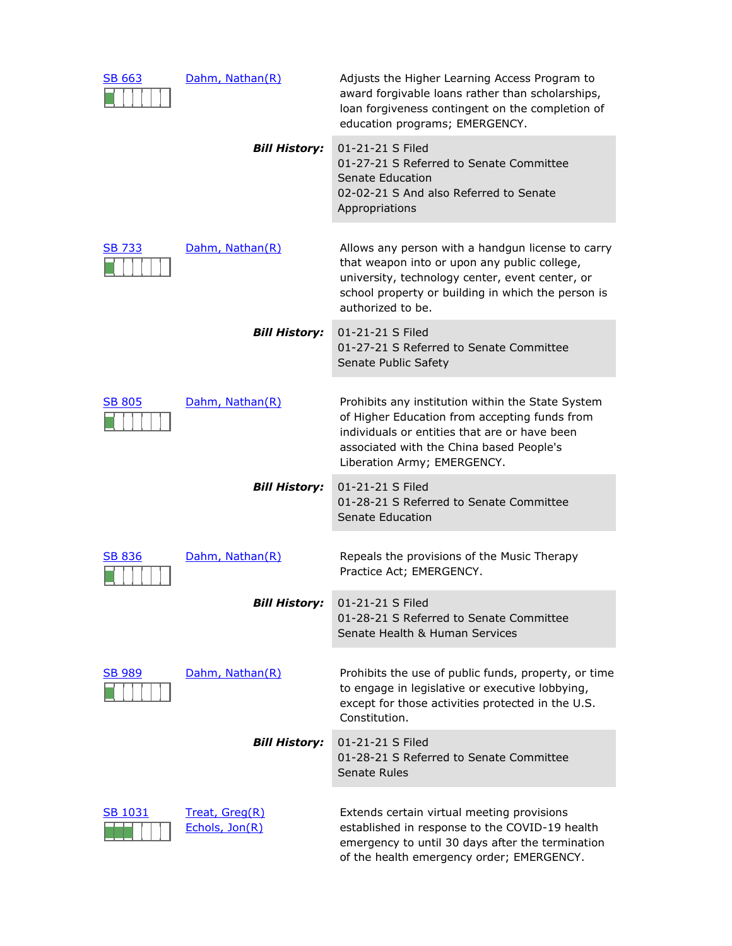| <b>SB 663</b> | Dahm, Nathan(R)                  | Adjusts the Higher Learning Access Program to<br>award forgivable loans rather than scholarships,<br>loan forgiveness contingent on the completion of<br>education programs; EMERGENCY.                                         |
|---------------|----------------------------------|---------------------------------------------------------------------------------------------------------------------------------------------------------------------------------------------------------------------------------|
|               | <b>Bill History:</b>             | 01-21-21 S Filed<br>01-27-21 S Referred to Senate Committee<br>Senate Education<br>02-02-21 S And also Referred to Senate<br>Appropriations                                                                                     |
| SB 733        | Dahm, Nathan(R)                  | Allows any person with a handgun license to carry<br>that weapon into or upon any public college,<br>university, technology center, event center, or<br>school property or building in which the person is<br>authorized to be. |
|               | <b>Bill History:</b>             | 01-21-21 S Filed<br>01-27-21 S Referred to Senate Committee<br>Senate Public Safety                                                                                                                                             |
| <b>SB 805</b> | Dahm, Nathan(R)                  | Prohibits any institution within the State System<br>of Higher Education from accepting funds from<br>individuals or entities that are or have been<br>associated with the China based People's<br>Liberation Army; EMERGENCY.  |
|               | <b>Bill History:</b>             | 01-21-21 S Filed<br>01-28-21 S Referred to Senate Committee<br>Senate Education                                                                                                                                                 |
| <b>SB 836</b> | Dahm, Nathan(R)                  | Repeals the provisions of the Music Therapy<br>Practice Act; EMERGENCY.                                                                                                                                                         |
|               | <b>Bill History:</b>             | 01-21-21 S Filed<br>01-28-21 S Referred to Senate Committee<br>Senate Health & Human Services                                                                                                                                   |
| <b>SB 989</b> | Dahm, Nathan(R)                  | Prohibits the use of public funds, property, or time<br>to engage in legislative or executive lobbying,<br>except for those activities protected in the U.S.<br>Constitution.                                                   |
|               | <b>Bill History:</b>             | 01-21-21 S Filed<br>01-28-21 S Referred to Senate Committee<br>Senate Rules                                                                                                                                                     |
| SB 1031       | Treat, Greg(R)<br>Echols, Jon(R) | Extends certain virtual meeting provisions<br>established in response to the COVID-19 health<br>emergency to until 30 days after the termination<br>of the health emergency order; EMERGENCY.                                   |